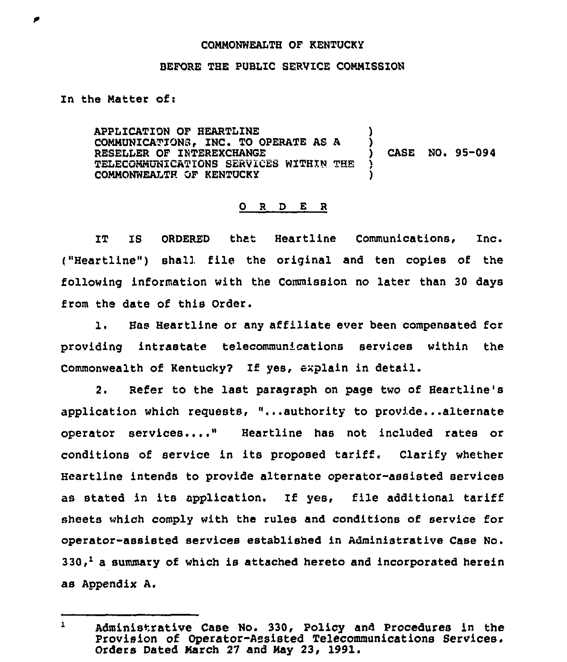## CONNONWEALTH OF KENTUCKY

#### BEFORE THE PUBLIC SERVICE CONMISSION

## In the Matter of:

APPLICATION OF HEARTLINE COMMUNICATIONS. INC. TO OPERATE AS A RESELLER OF INTEREXCHANGE TELECOMMUNICATIONS SERVICES WITHIN THE COMMONWEALTH OF KENTUCKY ) ) ) CASE NO+ 95-094 )

# 0 <sup>R</sup> <sup>D</sup> E <sup>R</sup>

IT IS ORDERED that Heartline Communications, Inc.  $($ "Heartline") shall file the original and ten copies of the following information with the Commission no later than 30 days from the date of this Order.

1. Has Heartline or any affiliate ever been compensated fcr providing intrastate telecommunications services within the Commonwealth of Kentucky? If yes, explain in detail.

2. Refer to the last paragraph on page two of Heartline's application which requests, "...authority to provide...alternate operator services...." Heartline has not included rates or conditions of service in its proposed tariff. Clarify whether Heartline intends to provide alternate operator-assisted services as stated in its application. If yes, file additional tariff sheets which comply with the rules and conditions of service for operator-assisted services established in Administrative Case No.  $330<sup>1</sup>$  a summary of which is attached hereto and incorporated herein as Appendix A.

 $\mathbf{1}$ Administrative Case No. 330, Policy and Procedures in the Provision of Operator-Assisted Telecommunications Services. Orders Dated Narch 27 and May 23, 1991.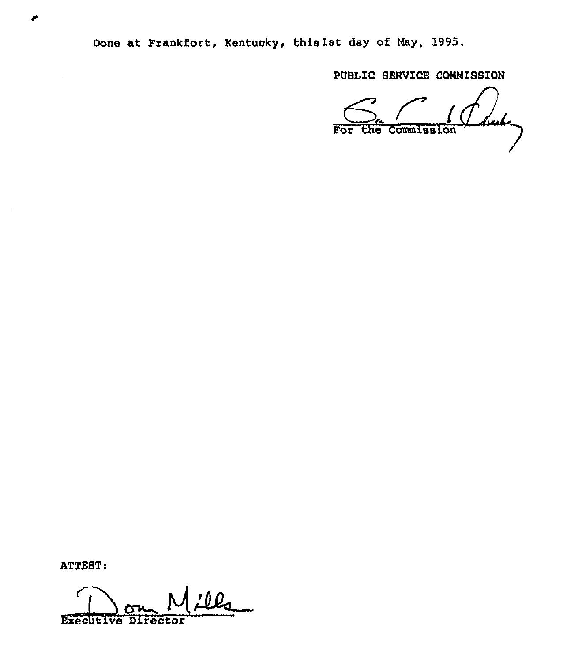Done at Frankfort, Kentucky, this 1st day of May, 1995.

PUBLIC SERVICE CONNISSION

but, For the Commission

ATTEST:

₽

<u>:lls</u> **Executive Director**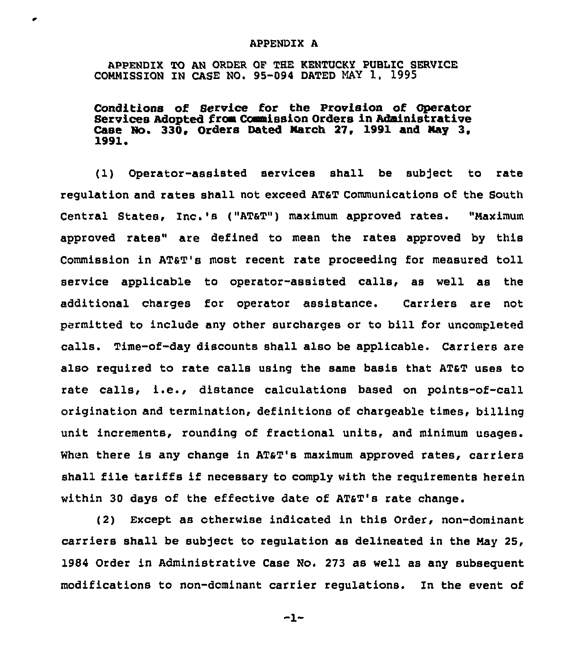#### APPENDIX A

APPENDIX TO AN ORDER OF THE KENTUCKY PUBLIC SERVICE COMMISSION IN CASE NO. 95-094 DATED NAY 1, 1995

Conditions of Service for the Provision of Operator Services Adopted from Commission Orders in Administrative Case No. 330, Orders Dated March 27, 1991 and May 3, 1991

(1) Operator-assisted services shall be subject to rate regulation and rates shall not exceed ATST Communications of the South central states, Inc.'s ("ATaT") maximum approved rates. "Naximum approved rates" are defined to mean the rates approved by this commission in ATAT's most recent rate proceeding for measured toll service applicable to operator-assisted calls, as well as the additional charges for operator assistance. Carriers are not permitted to include any other surcharges or to bill for uncompleted calls. Time-of-day discounts shall also be applicable. Carriers are also required to rate calls using the same basis that ATaT uses to rate calls, i.e., distance calculations based on points-of-call origination and termination, definitions of chargeable times, billing unit increments, rounding of fractional units, and minimum usages. When there is any change in AT&T's maximum approved rates, carriers shall file tariffs if necessary to comply with the requirements herein within 30 days of the effective date of ATaT's rate change.

(2) Except as otherwise indicated in this Order, non-dominant carriers shall be subject to regulation as delineated in the Nay 25, 1984 Order in Administrative Case No. 273 as well as any subsequent modifications to non-dominant carrier regulations. In the event of

 $-1-$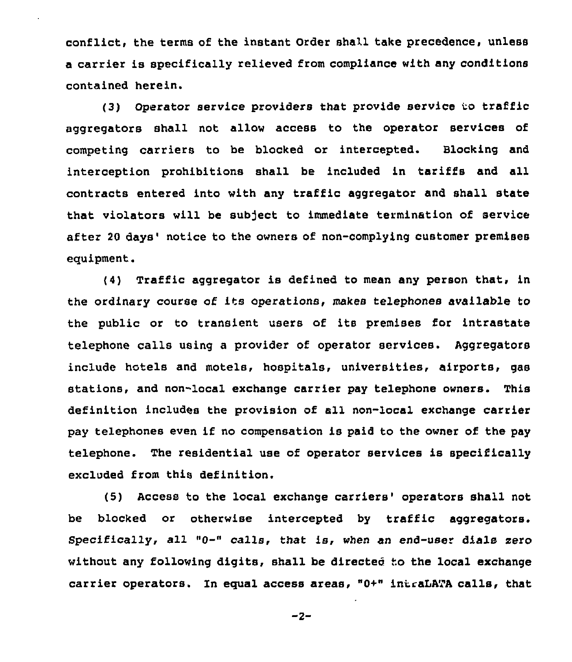conflict, the terms of the instant Order shall take precedence, unless a carrier is specifically relieved from compliance with any conditions contained herein.

(3) Operator service providers that provide service to traffic aggregators shall not allow access to the operator services of competing carriers to be blocked or intercepted. Blocking and interception prohibitions shall be included in tariffs and all contracts entered into with any traffic aggregator and shall state that violators will be subject to immediate termination of service after 20 days' notice to the owners of non-complying customer premises equipment.

(4) Traffic aggregator is defined to mean any person that, in the ordinary course of its operations, makes telephones available to the public or to transient users of its premises for intrastate telephone calls using a provider of operator services. Aggregators include hotels and motels, hospitals, universities, airports, gas stations, and non-local exchange carrier pay telephone owners. This definition includes the provision of all non-local exchange carrier pay telephones even if no compensation is paid to the owner of the pay telephone. The residential use of operator services is specifically excluded from this definition.

(5) Access to the local exchange carriers' operators shall not be blocked or otherwise intercepted by traffic aggregators. Specifically, all "0-" calls, that is, when an end-user dials zero without any following digits, shall be directed to the local exchange carrier operators. In equal access areas, "0+" intraLATA calls, that

 $-2-$